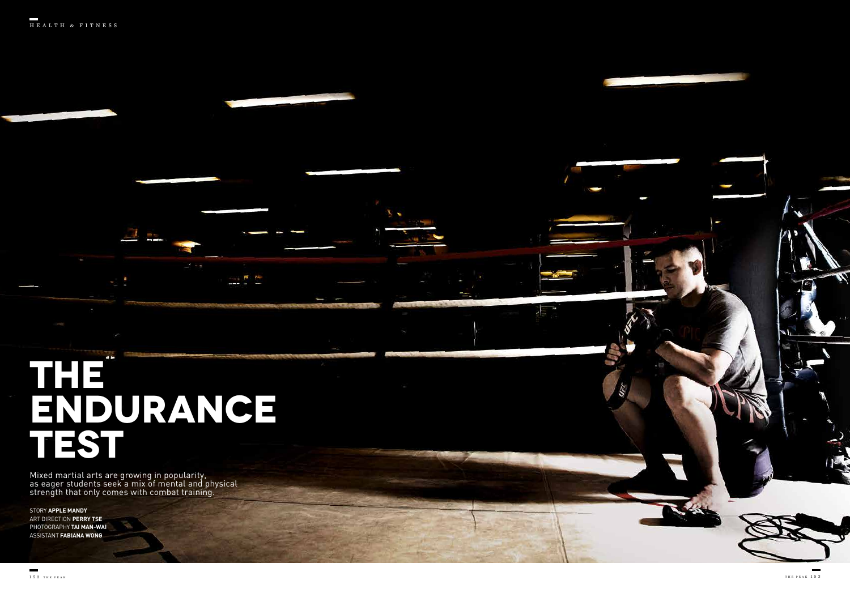## **THE ENDURANCE TEST**

Mixed martial arts are growing in popularity, as eager students seek a mix of mental and physical strength that only comes with combat training.

STORY **APPLE MANDY** ART DIRECTION **PERRY TSE** PHOTOGRAPHY **TAI MAN-WAI** ASSISTANT **FABIANA WONG**

 $\overline{\phantom{a}}$ 

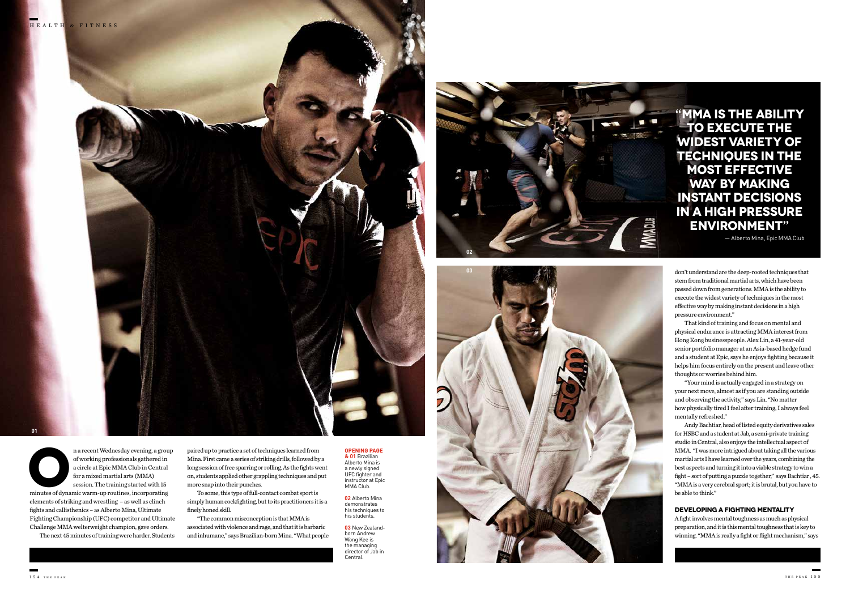ma recent Wednesday evening, a group of working professionals gathered in a circle at Epic MMA Club in Central for a mixed martial arts (MMA) session. The training started with 15 minutes of dynamic warm-up routines, incor of working professionals gathered in a circle at Epic MMA Club in Central for a mixed martial arts (MMA) session. The training started with 15

elements of striking and wrestling – as well as clinch fights and callisthenics – as Alberto Mina, Ultimate Fighting Championship (UFC) competitor and Ultimate Challenge MMA welterweight champion, gave orders.

The next 45 minutes of training were harder. Students

paired up to practice a set of techniques learned from Mina. First came a series of striking drills, followed by a long session of free sparring or rolling. As the fights went on, students applied other grappling techniques and put more snap into their punches.

To some, this type of full-contact combat sport is simply human cockfighting, but to its practitioners it is a finely honed skill.

"The common misconception is that MMA is associated with violence and rage, and that it is barbaric and inhumane," says Brazilian-born Mina. "What people

don't understand are the deep-rooted techniques that stem from traditional martial arts, which have been passed down from generations. MMA is the ability to execute the widest variety of techniques in the most effective way by making instant decisions in a high pressure environment."

**02** Alberto Mina demonstrates his techniques to his students.

That kind of training and focus on mental and physical endurance is attracting MMA interest from Hong Kong businesspeople. Alex Lin, a 41-year-old senior portfolio manager at an Asia-based hedge fund and a student at Epic, says he enjoys fighting because it helps him focus entirely on the present and leave other thoughts or worries behind him.

"Your mind is actually engaged in a strategy on your next move, almost as if you are standing outside and observing the activity," says Lin. "No matter how physically tired I feel after training, I always feel mentally refreshed."

Andy Bachtiar, head of listed equity derivatives sales for HSBC and a student at Jab, a semi-private training studio in Central, also enjoys the intellectual aspect of MMA. "I was more intrigued about taking all the various martial arts I have learned over the years, combining the best aspects and turning it into a viable strategy to win a fight – sort of putting a puzzle together," says Bachtiar , 45. "MMA is a very cerebral sport; it is brutal, but you have to be able to think."

## **DEVELOPING A FIGHTING MENTALITY**

A fight involves mental toughness as much as physical preparation, and it is this mental toughness that is key to winning. "MMA is really a fight or flight mechanism," says

## **"MMA IS THE ABILITY TO EXECUTE THE WIDEST VARIETY OF TECHNIQUES IN THE MOST EFFECTIVE WAY BY MAKING INSTANT DECISIONS IN A HIGH PRESSURE ENVIRONMENT"**

— Alberto Mina, Epic MMA Club



**01**





**OPENING PAGE & 01** Brazilian Alberto Mina is a newly signed UFC fighter and instructor at Epic MMA Club.

**03** New Zealandborn Andrew Wong Kee is the managing director of Jab in Central.